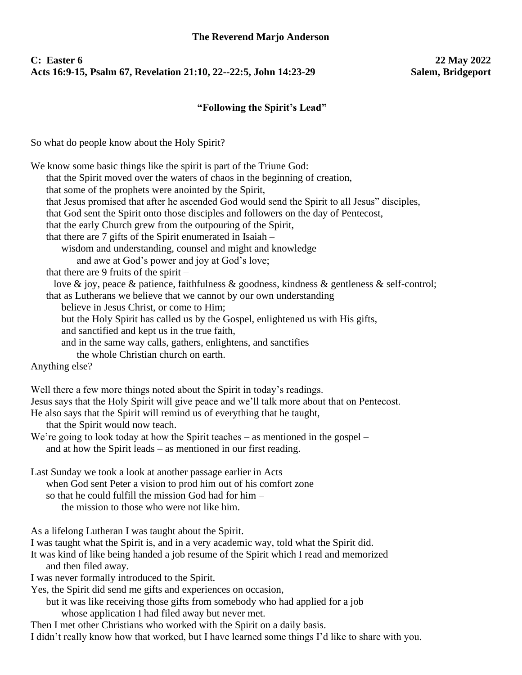## **C: Easter 6 22 May 2022** Acts 16:9-15, Psalm 67, Revelation 21:10, 22--22:5, John 14:23-29

## **"Following the Spirit's Lead"**

So what do people know about the Holy Spirit?

| We know some basic things like the spirit is part of the Triune God:<br>that the Spirit moved over the waters of chaos in the beginning of creation,<br>that some of the prophets were anointed by the Spirit,<br>that Jesus promised that after he ascended God would send the Spirit to all Jesus" disciples,<br>that God sent the Spirit onto those disciples and followers on the day of Pentecost,<br>that the early Church grew from the outpouring of the Spirit,<br>that there are $7$ gifts of the Spirit enumerated in Isaiah $-$<br>wisdom and understanding, counsel and might and knowledge<br>and awe at God's power and joy at God's love;<br>that there are 9 fruits of the spirit $-$<br>love & joy, peace & patience, faithfulness & goodness, kindness & gentleness & self-control;<br>that as Lutherans we believe that we cannot by our own understanding<br>believe in Jesus Christ, or come to Him;<br>but the Holy Spirit has called us by the Gospel, enlightened us with His gifts,<br>and sanctified and kept us in the true faith,<br>and in the same way calls, gathers, enlightens, and sanctifies<br>the whole Christian church on earth.<br>Anything else? |
|--------------------------------------------------------------------------------------------------------------------------------------------------------------------------------------------------------------------------------------------------------------------------------------------------------------------------------------------------------------------------------------------------------------------------------------------------------------------------------------------------------------------------------------------------------------------------------------------------------------------------------------------------------------------------------------------------------------------------------------------------------------------------------------------------------------------------------------------------------------------------------------------------------------------------------------------------------------------------------------------------------------------------------------------------------------------------------------------------------------------------------------------------------------------------------------------|
| Well there a few more things noted about the Spirit in today's readings.<br>Jesus says that the Holy Spirit will give peace and we'll talk more about that on Pentecost.<br>He also says that the Spirit will remind us of everything that he taught,<br>that the Spirit would now teach.<br>We're going to look today at how the Spirit teaches – as mentioned in the gospel –<br>and at how the Spirit leads - as mentioned in our first reading.                                                                                                                                                                                                                                                                                                                                                                                                                                                                                                                                                                                                                                                                                                                                        |
| Last Sunday we took a look at another passage earlier in Acts<br>when God sent Peter a vision to prod him out of his comfort zone<br>so that he could fulfill the mission God had for him -<br>the mission to those who were not like him.                                                                                                                                                                                                                                                                                                                                                                                                                                                                                                                                                                                                                                                                                                                                                                                                                                                                                                                                                 |
| As a lifelong Lutheran I was taught about the Spirit.<br>I was taught what the Spirit is, and in a very academic way, told what the Spirit did.<br>It was kind of like being handed a job resume of the Spirit which I read and memorized<br>and then filed away.<br>I was never formally introduced to the Spirit.<br>Yes, the Spirit did send me gifts and experiences on occasion,<br>but it was like receiving those gifts from somebody who had applied for a job<br>whose application I had filed away but never met.<br>Then I met other Christians who worked with the Spirit on a daily basis.<br>I didn't really know how that worked, but I have learned some things I'd like to share with you.                                                                                                                                                                                                                                                                                                                                                                                                                                                                                |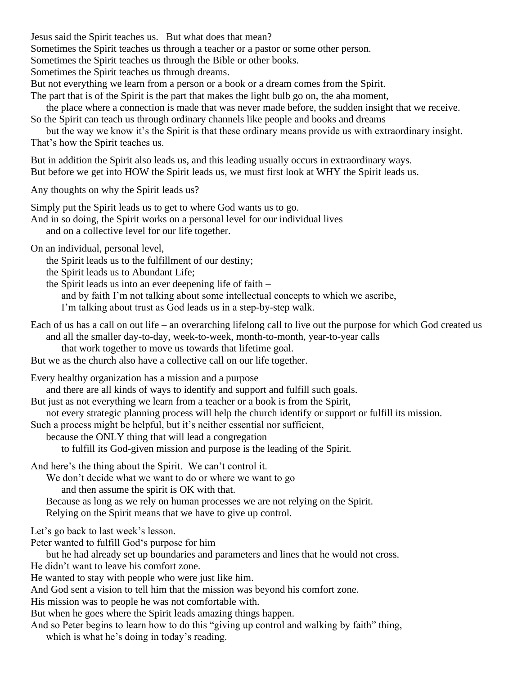Jesus said the Spirit teaches us. But what does that mean?

Sometimes the Spirit teaches us through a teacher or a pastor or some other person.

Sometimes the Spirit teaches us through the Bible or other books.

Sometimes the Spirit teaches us through dreams.

But not everything we learn from a person or a book or a dream comes from the Spirit.

The part that is of the Spirit is the part that makes the light bulb go on, the aha moment,

the place where a connection is made that was never made before, the sudden insight that we receive.

So the Spirit can teach us through ordinary channels like people and books and dreams

but the way we know it's the Spirit is that these ordinary means provide us with extraordinary insight. That's how the Spirit teaches us.

But in addition the Spirit also leads us, and this leading usually occurs in extraordinary ways. But before we get into HOW the Spirit leads us, we must first look at WHY the Spirit leads us.

Any thoughts on why the Spirit leads us?

Simply put the Spirit leads us to get to where God wants us to go.

And in so doing, the Spirit works on a personal level for our individual lives

and on a collective level for our life together.

On an individual, personal level,

the Spirit leads us to the fulfillment of our destiny;

the Spirit leads us to Abundant Life;

the Spirit leads us into an ever deepening life of faith –

and by faith I'm not talking about some intellectual concepts to which we ascribe,

I'm talking about trust as God leads us in a step-by-step walk.

Each of us has a call on out life – an overarching lifelong call to live out the purpose for which God created us and all the smaller day-to-day, week-to-week, month-to-month, year-to-year calls

that work together to move us towards that lifetime goal.

But we as the church also have a collective call on our life together.

Every healthy organization has a mission and a purpose

and there are all kinds of ways to identify and support and fulfill such goals.

But just as not everything we learn from a teacher or a book is from the Spirit,

not every strategic planning process will help the church identify or support or fulfill its mission.

Such a process might be helpful, but it's neither essential nor sufficient,

because the ONLY thing that will lead a congregation

to fulfill its God-given mission and purpose is the leading of the Spirit.

And here's the thing about the Spirit. We can't control it.

We don't decide what we want to do or where we want to go

and then assume the spirit is OK with that.

Because as long as we rely on human processes we are not relying on the Spirit.

Relying on the Spirit means that we have to give up control.

Let's go back to last week's lesson.

Peter wanted to fulfill God's purpose for him

but he had already set up boundaries and parameters and lines that he would not cross.

He didn't want to leave his comfort zone.

He wanted to stay with people who were just like him.

And God sent a vision to tell him that the mission was beyond his comfort zone.

His mission was to people he was not comfortable with.

But when he goes where the Spirit leads amazing things happen.

And so Peter begins to learn how to do this "giving up control and walking by faith" thing,

which is what he's doing in today's reading.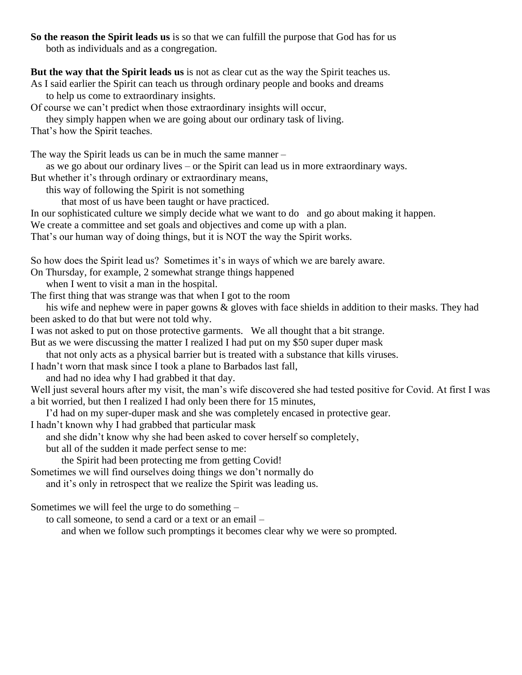**So the reason the Spirit leads us** is so that we can fulfill the purpose that God has for us both as individuals and as a congregation.

**But the way that the Spirit leads us** is not as clear cut as the way the Spirit teaches us.

As I said earlier the Spirit can teach us through ordinary people and books and dreams to help us come to extraordinary insights.

Of course we can't predict when those extraordinary insights will occur,

they simply happen when we are going about our ordinary task of living.

That's how the Spirit teaches.

The way the Spirit leads us can be in much the same manner –

as we go about our ordinary lives – or the Spirit can lead us in more extraordinary ways.

But whether it's through ordinary or extraordinary means,

this way of following the Spirit is not something

that most of us have been taught or have practiced.

In our sophisticated culture we simply decide what we want to do and go about making it happen.

We create a committee and set goals and objectives and come up with a plan.

That's our human way of doing things, but it is NOT the way the Spirit works.

So how does the Spirit lead us? Sometimes it's in ways of which we are barely aware.

On Thursday, for example, 2 somewhat strange things happened

when I went to visit a man in the hospital.

The first thing that was strange was that when I got to the room

his wife and nephew were in paper gowns & gloves with face shields in addition to their masks. They had been asked to do that but were not told why.

I was not asked to put on those protective garments. We all thought that a bit strange.

But as we were discussing the matter I realized I had put on my \$50 super duper mask

that not only acts as a physical barrier but is treated with a substance that kills viruses.

I hadn't worn that mask since I took a plane to Barbados last fall,

and had no idea why I had grabbed it that day.

Well just several hours after my visit, the man's wife discovered she had tested positive for Covid. At first I was a bit worried, but then I realized I had only been there for 15 minutes,

I'd had on my super-duper mask and she was completely encased in protective gear.

I hadn't known why I had grabbed that particular mask

and she didn't know why she had been asked to cover herself so completely,

but all of the sudden it made perfect sense to me:

the Spirit had been protecting me from getting Covid!

Sometimes we will find ourselves doing things we don't normally do

and it's only in retrospect that we realize the Spirit was leading us.

Sometimes we will feel the urge to do something –

to call someone, to send a card or a text or an email –

and when we follow such promptings it becomes clear why we were so prompted.